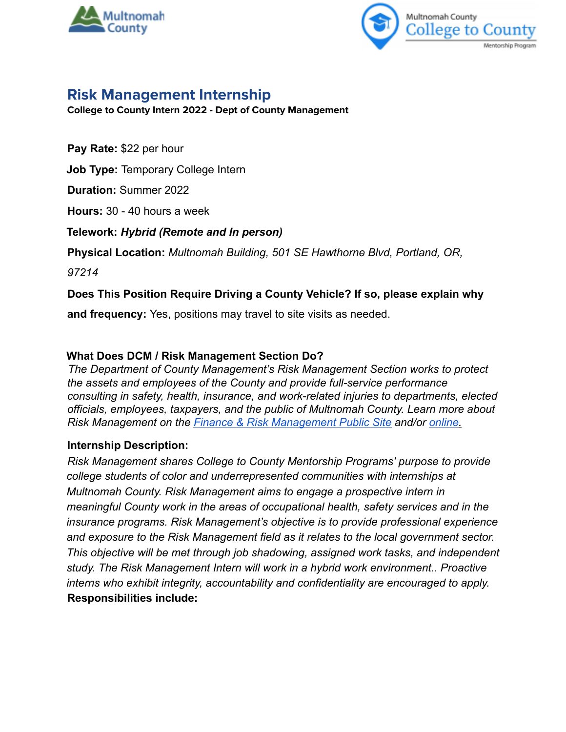



# **Risk Management Internship**

**College to County Intern 2022 - Dept of County Management**

**Pay Rate:** \$22 per hour **Job Type:** Temporary College Intern **Duration:** Summer 2022 **Hours:** 30 - 40 hours a week **Telework:** *Hybrid (Remote and In person)* **Physical Location:** *Multnomah Building, 501 SE Hawthorne Blvd, Portland, OR, 97214* **Does This Position Require Driving a County Vehicle? If so, please explain why**

**and frequency:** Yes, positions may travel to site visits as needed.

## **What Does DCM / Risk Management Section Do?**

*The Department of County Management's Risk Management Section works to protect the assets and employees of the County and provide full-service performance consulting in safety, health, insurance, and work-related injuries to departments, elected officials, employees, taxpayers, and the public of Multnomah County. Learn more about Risk Management on the Finance & Risk Management Public Site and/or online.*

#### **Internship Description:**

*Risk Management shares College to County Mentorship Programs' purpose to provide college students of color and underrepresented communities with internships at Multnomah County. Risk Management aims to engage a prospective intern in meaningful County work in the areas of occupational health, safety services and in the insurance programs. Risk Management's objective is to provide professional experience and exposure to the Risk Management field as it relates to the local government sector. This objective will be met through job shadowing, assigned work tasks, and independent study. The Risk Management Intern will work in a hybrid work environment.. Proactive interns who exhibit integrity, accountability and confidentiality are encouraged to apply.* **Responsibilities include:**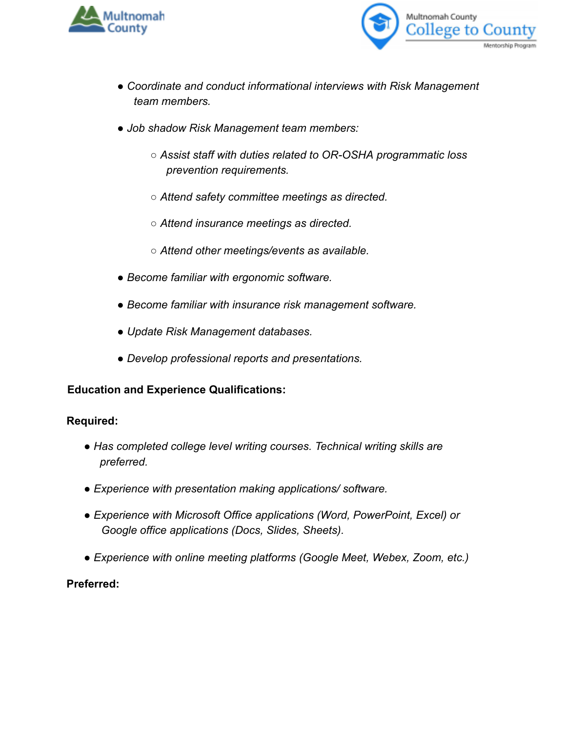



- *Coordinate and conduct informational interviews with Risk Management team members.*
- *Job shadow Risk Management team members:*
	- *Assist staff with duties related to OR-OSHA programmatic loss prevention requirements.*
	- *Attend safety committee meetings as directed.*
	- *Attend insurance meetings as directed.*
	- *Attend other meetings/events as available.*
- *Become familiar with ergonomic software.*
- *Become familiar with insurance risk management software.*
- *Update Risk Management databases.*
- *Develop professional reports and presentations.*

#### **Education and Experience Qualifications:**

#### **Required:**

- *Has completed college level writing courses. Technical writing skills are preferred.*
- *Experience with presentation making applications/ software.*
- *Experience with Microsoft Office applications (Word, PowerPoint, Excel) or Google office applications (Docs, Slides, Sheets).*
- *Experience with online meeting platforms (Google Meet, Webex, Zoom, etc.)*

#### **Preferred:**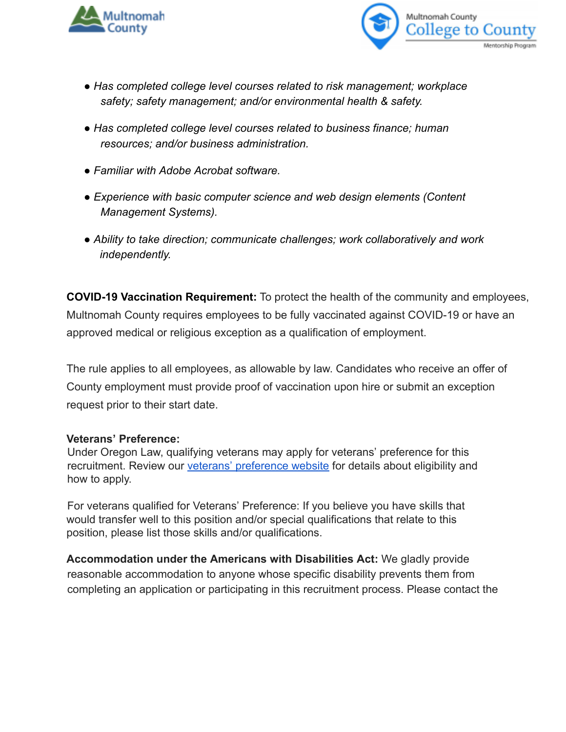



- *Has completed college level courses related to risk management; workplace safety; safety management; and/or environmental health & safety.*
- *Has completed college level courses related to business finance; human resources; and/or business administration.*
- *Familiar with Adobe Acrobat software.*
- *Experience with basic computer science and web design elements (Content Management Systems).*
- *Ability to take direction; communicate challenges; work collaboratively and work independently.*

**COVID-19 Vaccination Requirement:** To protect the health of the community and employees, Multnomah County requires employees to be fully vaccinated against COVID-19 or have an approved medical or religious exception as a qualification of employment.

The rule applies to all employees, as allowable by law. Candidates who receive an offer of County employment must provide proof of vaccination upon hire or submit an exception request prior to their start date.

#### **Veterans' Preference:**

Under Oregon Law, qualifying veterans may apply for veterans' preference for this recruitment. Review our veterans' preference website for details about eligibility and how to apply.

For veterans qualified for Veterans' Preference: If you believe you have skills that would transfer well to this position and/or special qualifications that relate to this position, please list those skills and/or qualifications.

**Accommodation under the Americans with Disabilities Act:** We gladly provide reasonable accommodation to anyone whose specific disability prevents them from completing an application or participating in this recruitment process. Please contact the